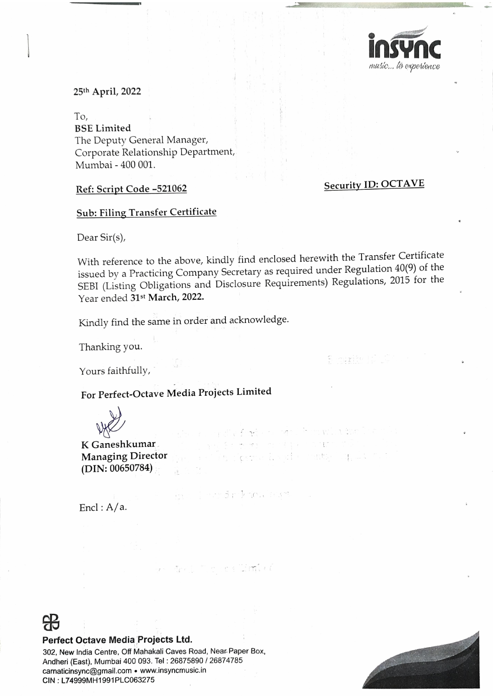

25th April, 2022

To, **BSE Limited** The Deputy General Manager, Corporate Relationship Department, Mumbai - 400 001.

### **Security ID: OCTAVE**

# **Sub: Filing Transfer Certificate**

Ref: Script Code -521062

Dear Sir(s),

With reference to the above, kindly find enclosed herewith the Transfer Certificate issued by a Practicing Company Secretary as required under Regulation 40(9) of the SEBI (Listing Obligations and Disclosure Requirements) Regulations, 2015 for the Year ended 31st March, 2022.

 $\mathcal{L} \leftarrow \mathcal{L} \left( \mathcal{L} \right)$ 

in ferma Runde rants ligger

Kindly find the same in order and acknowledge.

Thanking you.

Yours faithfully,

Bucurity [C

# For Perfect-Octave Media Projects Limited



K Ganeshkumar **Managing Director**  $(DIN: 00650784)$ 

> fored release auro  $151<sup>2</sup>$

Iest Tio se Cimbre

Encl:  $A/a$ .



#### Perfect Octave Media Projects Ltd.

302, New India Centre, Off Mahakali Caves Road, Near Paper Box, Andheri (East), Mumbai 400 093. Tel: 26875890 / 26874785 carnaticinsync@gmail.com • www.insyncmusic.in CIN: L74999MH1991PLC063275